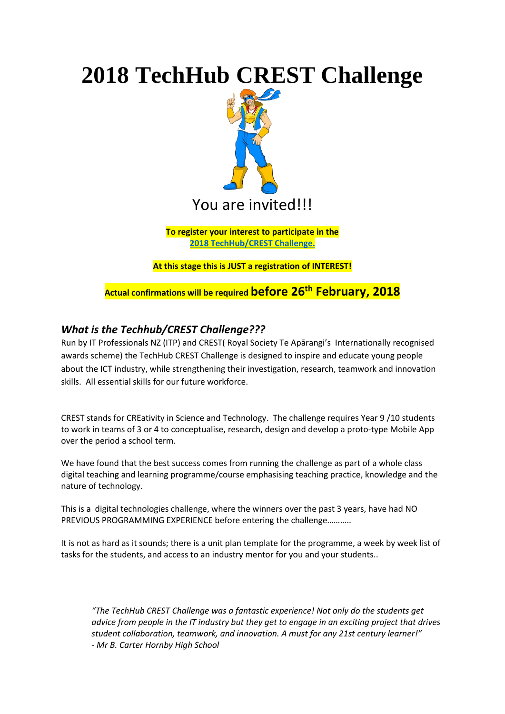## **2018 TechHub CREST Challenge**



**To register your interest to participate in the [2018 TechHub/CREST Challenge.](https://docs.google.com/forms/d/e/1FAIpQLSfDrEeYhoB2TGrEpBg902Z0BxfwcFQQI885pVafYytsmT4-wA/viewform)**

**At this stage this is JUST a registration of INTEREST!**

**Actual confirmations will be required before 26 th February, 2018**

## *What is the Techhub/CREST Challenge???*

Run by IT Professionals NZ (ITP) and CREST( Royal Society Te Apārangi's Internationally recognised awards scheme) the TechHub CREST Challenge is designed to inspire and educate young people about the ICT industry, while strengthening their investigation, research, teamwork and innovation skills. All essential skills for our future workforce.

CREST stands for CREativity in Science and Technology. The challenge requires Year 9 /10 students to work in teams of 3 or 4 to conceptualise, research, design and develop a proto-type Mobile App over the period a school term.

We have found that the best success comes from running the challenge as part of a whole class digital teaching and learning programme/course emphasising teaching practice, knowledge and the nature of technology.

This is a digital technologies challenge, where the winners over the past 3 years, have had NO PREVIOUS PROGRAMMING EXPERIENCE before entering the challenge………..

It is not as hard as it sounds; there is a unit plan template for the programme, a week by week list of tasks for the students, and access to an industry mentor for you and your students..

*"The TechHub CREST Challenge was a fantastic experience! Not only do the students get advice from people in the IT industry but they get to engage in an exciting project that drives student collaboration, teamwork, and innovation. A must for any 21st century learner!" - Mr B. Carter Hornby High School*